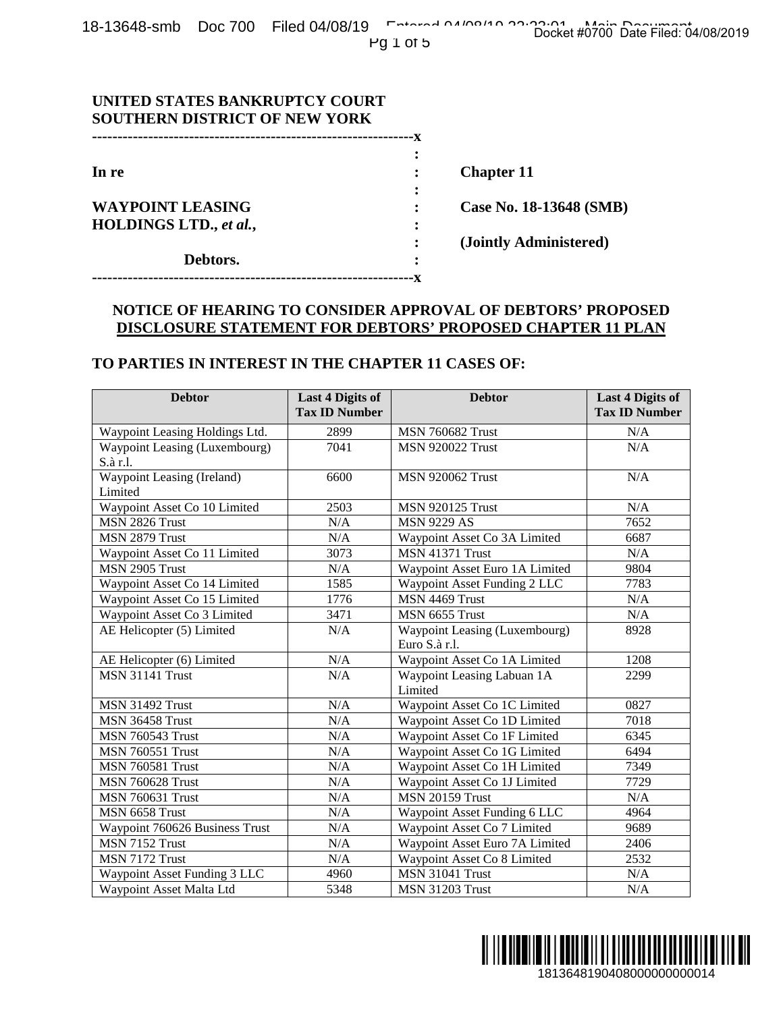| UNITED STATES BANKRUPTCY COURT       |   |                         |
|--------------------------------------|---|-------------------------|
| <b>SOUTHERN DISTRICT OF NEW YORK</b> |   |                         |
|                                      |   |                         |
|                                      | ٠ |                         |
| In re                                |   | <b>Chapter 11</b>       |
|                                      |   |                         |
| <b>WAYPOINT LEASING</b>              |   | Case No. 18-13648 (SMB) |
| HOLDINGS LTD., et al.,               |   |                         |
|                                      |   | (Jointly Administered)  |
| Debtors.                             |   |                         |
|                                      |   |                         |

# **NOTICE OF HEARING TO CONSIDER APPROVAL OF DEBTORS' PROPOSED DISCLOSURE STATEMENT FOR DEBTORS' PROPOSED CHAPTER 11 PLAN**

#### **TO PARTIES IN INTEREST IN THE CHAPTER 11 CASES OF:**

| <b>SOUTHERN DISTRICT OF NEW YORK</b>                                                 |                                                 |                                                                                                                                  |                                                 |  |
|--------------------------------------------------------------------------------------|-------------------------------------------------|----------------------------------------------------------------------------------------------------------------------------------|-------------------------------------------------|--|
| In re<br><b>WAYPOINT LEASING</b><br>HOLDINGS LTD., et al.,<br>Debtors.               |                                                 | <b>Chapter 11</b>                                                                                                                |                                                 |  |
|                                                                                      |                                                 |                                                                                                                                  | Case No. 18-13648 (SMB)                         |  |
|                                                                                      |                                                 | (Jointly Administered)                                                                                                           |                                                 |  |
| TO PARTIES IN INTEREST IN THE CHAPTER 11 CASES OF:                                   | .------------------------------------X          | NOTICE OF HEARING TO CONSIDER APPROVAL OF DEBTORS' PROPOSED<br><b>DISCLOSURE STATEMENT FOR DEBTORS' PROPOSED CHAPTER 11 PLAN</b> |                                                 |  |
| <b>Debtor</b>                                                                        | <b>Last 4 Digits of</b><br><b>Tax ID Number</b> | <b>Debtor</b>                                                                                                                    | <b>Last 4 Digits of</b><br><b>Tax ID Number</b> |  |
| Waypoint Leasing Holdings Ltd.                                                       | 2899                                            | <b>MSN 760682 Trust</b>                                                                                                          | N/A                                             |  |
| Waypoint Leasing (Luxembourg)<br>S.à r.l.                                            | 7041                                            | <b>MSN 920022 Trust</b>                                                                                                          | N/A                                             |  |
| Waypoint Leasing (Ireland)<br>Limited                                                | 6600                                            | <b>MSN 920062 Trust</b>                                                                                                          | N/A                                             |  |
| Waypoint Asset Co 10 Limited                                                         | 2503                                            | <b>MSN 920125 Trust</b>                                                                                                          | N/A                                             |  |
| MSN 2826 Trust                                                                       | N/A                                             | <b>MSN 9229 AS</b>                                                                                                               | 7652                                            |  |
| MSN 2879 Trust                                                                       | N/A                                             | Waypoint Asset Co 3A Limited                                                                                                     | 6687                                            |  |
| Waypoint Asset Co 11 Limited                                                         | 3073                                            | <b>MSN 41371 Trust</b>                                                                                                           | N/A                                             |  |
| MSN 2905 Trust                                                                       | N/A                                             | Waypoint Asset Euro 1A Limited                                                                                                   | 9804                                            |  |
| Waypoint Asset Co 14 Limited<br>Waypoint Asset Co 15 Limited                         | 1585<br>1776                                    | Waypoint Asset Funding 2 LLC<br>MSN 4469 Trust                                                                                   | 7783<br>N/A                                     |  |
| Waypoint Asset Co 3 Limited                                                          | 3471                                            | MSN 6655 Trust                                                                                                                   | N/A                                             |  |
| AE Helicopter (5) Limited                                                            | N/A                                             | Waypoint Leasing (Luxembourg)<br>Euro S.à r.l.                                                                                   | 8928                                            |  |
| AE Helicopter (6) Limited                                                            | N/A                                             | Waypoint Asset Co 1A Limited                                                                                                     | 1208                                            |  |
| <b>MSN 31141 Trust</b>                                                               | N/A                                             | Waypoint Leasing Labuan 1A<br>Limited                                                                                            | 2299                                            |  |
| <b>MSN 31492 Trust</b>                                                               | N/A                                             | Waypoint Asset Co 1C Limited                                                                                                     | 0827                                            |  |
| MSN 36458 Trust                                                                      | N/A                                             | Waypoint Asset Co 1D Limited                                                                                                     | 7018                                            |  |
| <b>MSN 760543 Trust</b>                                                              | N/A                                             | Waypoint Asset Co 1F Limited                                                                                                     | 6345                                            |  |
| <b>MSN 760551 Trust</b><br><b>MSN 760581 Trust</b>                                   | N/A<br>N/A                                      | Waypoint Asset Co 1G Limited<br>Waypoint Asset Co 1H Limited                                                                     | 6494<br>7349                                    |  |
| <b>MSN 760628 Trust</b>                                                              | N/A                                             | Waypoint Asset Co 1J Limited                                                                                                     | 7729                                            |  |
| <b>MSN 760631 Trust</b>                                                              | N/A                                             | <b>MSN 20159 Trust</b>                                                                                                           | N/A                                             |  |
|                                                                                      | N/A                                             | Waypoint Asset Funding 6 LLC                                                                                                     | 4964                                            |  |
|                                                                                      | N/A                                             | Waypoint Asset Co 7 Limited                                                                                                      | 9689                                            |  |
|                                                                                      |                                                 | Waypoint Asset Euro 7A Limited                                                                                                   | 2406                                            |  |
|                                                                                      | N/A                                             |                                                                                                                                  |                                                 |  |
| MSN 6658 Trust<br>Waypoint 760626 Business Trust<br>MSN 7152 Trust<br>MSN 7172 Trust | N/A                                             | Waypoint Asset Co 8 Limited                                                                                                      | 2532                                            |  |
| Waypoint Asset Funding 3 LLC<br>Waypoint Asset Malta Ltd                             | 4960<br>5348                                    | <b>MSN 31041 Trust</b><br><b>MSN 31203 Trust</b>                                                                                 | N/A<br>N/A                                      |  |

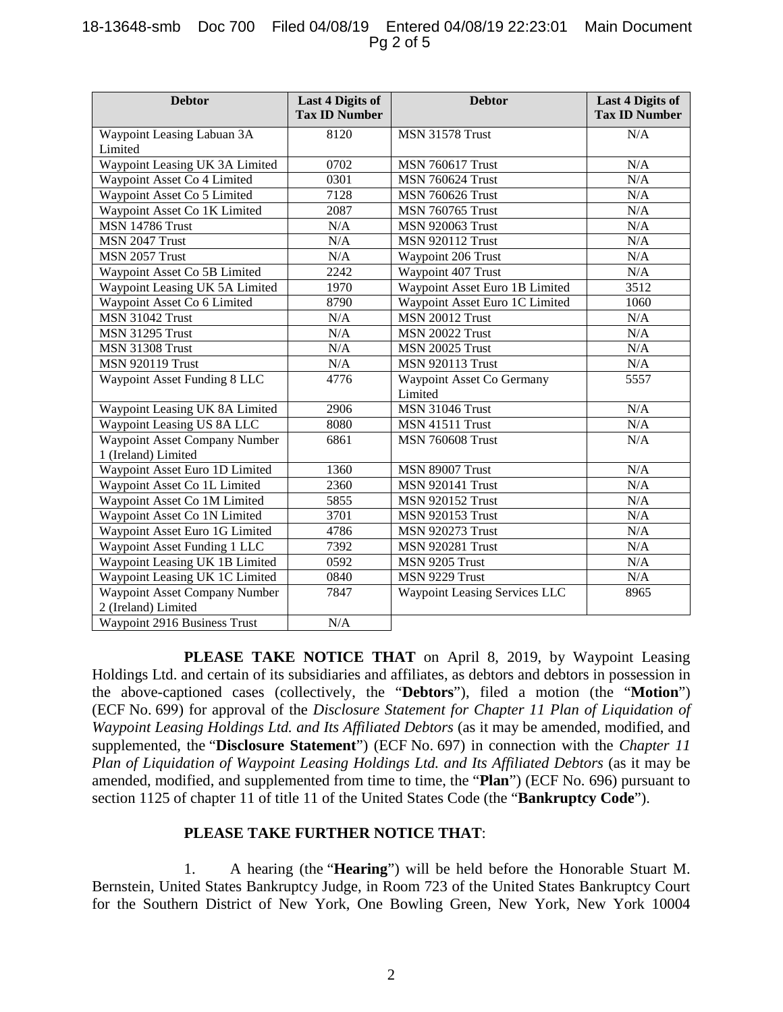## 18-13648-smb Doc 700 Filed 04/08/19 Entered 04/08/19 22:23:01 Main Document Pg 2 of 5

| <b>Debtor</b>                        | <b>Last 4 Digits of</b><br><b>Tax ID Number</b> | <b>Debtor</b>                        | <b>Last 4 Digits of</b><br><b>Tax ID Number</b> |
|--------------------------------------|-------------------------------------------------|--------------------------------------|-------------------------------------------------|
| Waypoint Leasing Labuan 3A           | 8120                                            | <b>MSN 31578 Trust</b>               | N/A                                             |
| Limited                              |                                                 |                                      |                                                 |
| Waypoint Leasing UK 3A Limited       | 0702                                            | <b>MSN 760617 Trust</b>              | N/A                                             |
| Waypoint Asset Co 4 Limited          | 0301                                            | <b>MSN 760624 Trust</b>              | N/A                                             |
| Waypoint Asset Co 5 Limited          | 7128                                            | <b>MSN 760626 Trust</b>              | N/A                                             |
| Waypoint Asset Co 1K Limited         | 2087                                            | <b>MSN 760765 Trust</b>              | N/A                                             |
| <b>MSN 14786 Trust</b>               | N/A                                             | <b>MSN 920063 Trust</b>              | N/A                                             |
| MSN 2047 Trust                       | N/A                                             | <b>MSN 920112 Trust</b>              | N/A                                             |
| MSN 2057 Trust                       | N/A                                             | Waypoint 206 Trust                   | N/A                                             |
| Waypoint Asset Co 5B Limited         | 2242                                            | Waypoint 407 Trust                   | N/A                                             |
| Waypoint Leasing UK 5A Limited       | 1970                                            | Waypoint Asset Euro 1B Limited       | 3512                                            |
| Waypoint Asset Co 6 Limited          | 8790                                            | Waypoint Asset Euro 1C Limited       | 1060                                            |
| <b>MSN 31042 Trust</b>               | N/A                                             | <b>MSN 20012 Trust</b>               | N/A                                             |
| <b>MSN 31295 Trust</b>               | N/A                                             | <b>MSN 20022 Trust</b>               | N/A                                             |
| <b>MSN 31308 Trust</b>               | N/A                                             | <b>MSN 20025 Trust</b>               | N/A                                             |
| <b>MSN 920119 Trust</b>              | N/A                                             | <b>MSN 920113 Trust</b>              | N/A                                             |
| Waypoint Asset Funding 8 LLC         | 4776                                            | Waypoint Asset Co Germany            | 5557                                            |
|                                      |                                                 | Limited                              |                                                 |
| Waypoint Leasing UK 8A Limited       | 2906                                            | <b>MSN 31046 Trust</b>               | N/A                                             |
| Waypoint Leasing US 8A LLC           | 8080                                            | MSN 41511 Trust                      | N/A                                             |
| <b>Waypoint Asset Company Number</b> | 6861                                            | <b>MSN 760608 Trust</b>              | N/A                                             |
| 1 (Ireland) Limited                  |                                                 |                                      |                                                 |
| Waypoint Asset Euro 1D Limited       | 1360                                            | <b>MSN 89007 Trust</b>               | N/A                                             |
| Waypoint Asset Co 1L Limited         | 2360                                            | <b>MSN 920141 Trust</b>              | N/A                                             |
| Waypoint Asset Co 1M Limited         | 5855                                            | <b>MSN 920152 Trust</b>              | N/A                                             |
| Waypoint Asset Co 1N Limited         | 3701                                            | <b>MSN 920153 Trust</b>              | N/A                                             |
| Waypoint Asset Euro 1G Limited       | 4786                                            | <b>MSN 920273 Trust</b>              | N/A                                             |
| Waypoint Asset Funding 1 LLC         | 7392                                            | <b>MSN 920281 Trust</b>              | N/A                                             |
| Waypoint Leasing UK 1B Limited       | 0592                                            | MSN 9205 Trust                       | N/A                                             |
| Waypoint Leasing UK 1C Limited       | 0840                                            | MSN 9229 Trust                       | N/A                                             |
| Waypoint Asset Company Number        | 7847                                            | <b>Waypoint Leasing Services LLC</b> | 8965                                            |
| 2 (Ireland) Limited                  | N/A                                             |                                      |                                                 |
| Waypoint 2916 Business Trust         |                                                 |                                      |                                                 |

**PLEASE TAKE NOTICE THAT** on April 8, 2019, by Waypoint Leasing Holdings Ltd. and certain of its subsidiaries and affiliates, as debtors and debtors in possession in the above-captioned cases (collectively, the "**Debtors**"), filed a motion (the "**Motion**") (ECF No. 699) for approval of the *Disclosure Statement for Chapter 11 Plan of Liquidation of Waypoint Leasing Holdings Ltd. and Its Affiliated Debtors* (as it may be amended, modified, and supplemented, the "**Disclosure Statement**") (ECF No. 697) in connection with the *Chapter 11 Plan of Liquidation of Waypoint Leasing Holdings Ltd. and Its Affiliated Debtors* (as it may be amended, modified, and supplemented from time to time, the "**Plan**") (ECF No. 696) pursuant to section 1125 of chapter 11 of title 11 of the United States Code (the "**Bankruptcy Code**").

## **PLEASE TAKE FURTHER NOTICE THAT**:

1. A hearing (the "**Hearing**") will be held before the Honorable Stuart M. Bernstein, United States Bankruptcy Judge, in Room 723 of the United States Bankruptcy Court for the Southern District of New York, One Bowling Green, New York, New York 10004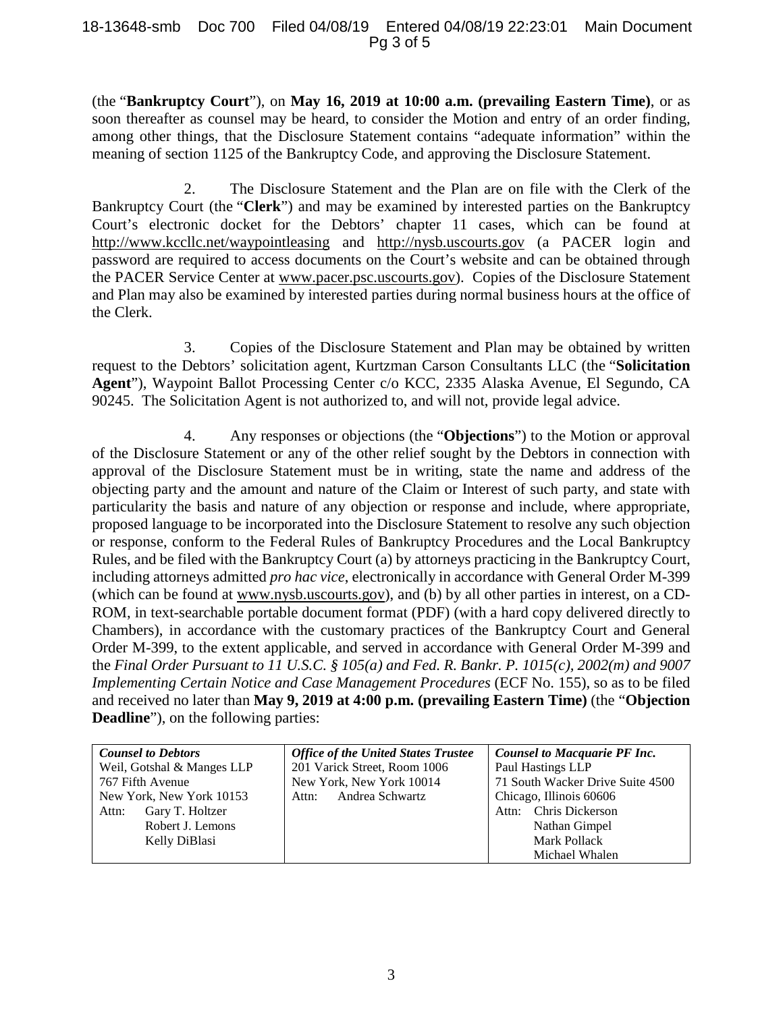#### 18-13648-smb Doc 700 Filed 04/08/19 Entered 04/08/19 22:23:01 Main Document Pg 3 of 5

(the "**Bankruptcy Court**"), on **May 16, 2019 at 10:00 a.m. (prevailing Eastern Time)**, or as soon thereafter as counsel may be heard, to consider the Motion and entry of an order finding, among other things, that the Disclosure Statement contains "adequate information" within the meaning of section 1125 of the Bankruptcy Code, and approving the Disclosure Statement.

2. The Disclosure Statement and the Plan are on file with the Clerk of the Bankruptcy Court (the "**Clerk**") and may be examined by interested parties on the Bankruptcy Court's electronic docket for the Debtors' chapter 11 cases, which can be found at http://www.kccllc.net/waypointleasing and http://nysb.uscourts.gov (a PACER login and password are required to access documents on the Court's website and can be obtained through the PACER Service Center at www.pacer.psc.uscourts.gov). Copies of the Disclosure Statement and Plan may also be examined by interested parties during normal business hours at the office of the Clerk.

3. Copies of the Disclosure Statement and Plan may be obtained by written request to the Debtors' solicitation agent, Kurtzman Carson Consultants LLC (the "**Solicitation Agent**"), Waypoint Ballot Processing Center c/o KCC, 2335 Alaska Avenue, El Segundo, CA 90245. The Solicitation Agent is not authorized to, and will not, provide legal advice.

4. Any responses or objections (the "**Objections**") to the Motion or approval of the Disclosure Statement or any of the other relief sought by the Debtors in connection with approval of the Disclosure Statement must be in writing, state the name and address of the objecting party and the amount and nature of the Claim or Interest of such party, and state with particularity the basis and nature of any objection or response and include, where appropriate, proposed language to be incorporated into the Disclosure Statement to resolve any such objection or response, conform to the Federal Rules of Bankruptcy Procedures and the Local Bankruptcy Rules, and be filed with the Bankruptcy Court (a) by attorneys practicing in the Bankruptcy Court, including attorneys admitted *pro hac vice*, electronically in accordance with General Order M-399 (which can be found at www.nysb.uscourts.gov), and (b) by all other parties in interest, on a CD-ROM, in text-searchable portable document format (PDF) (with a hard copy delivered directly to Chambers), in accordance with the customary practices of the Bankruptcy Court and General Order M-399, to the extent applicable, and served in accordance with General Order M-399 and the *Final Order Pursuant to 11 U.S.C. § 105(a) and Fed. R. Bankr. P. 1015(c), 2002(m) and 9007 Implementing Certain Notice and Case Management Procedures* (ECF No. 155), so as to be filed and received no later than **May 9, 2019 at 4:00 p.m. (prevailing Eastern Time)** (the "**Objection Deadline**"), on the following parties:

| <b>Counsel to Debtors</b>  | <b>Office of the United States Trustee</b> | <b>Counsel to Macquarie PF Inc.</b> |
|----------------------------|--------------------------------------------|-------------------------------------|
| Weil, Gotshal & Manges LLP | 201 Varick Street, Room 1006               | Paul Hastings LLP                   |
| 767 Fifth Avenue           | New York, New York 10014                   | 71 South Wacker Drive Suite 4500    |
| New York, New York 10153   | Andrea Schwartz<br>Attn:                   | Chicago, Illinois 60606             |
| Gary T. Holtzer<br>Attn:   |                                            | Chris Dickerson<br>Attn:            |
| Robert J. Lemons           |                                            | Nathan Gimpel                       |
| Kelly DiBlasi              |                                            | <b>Mark Pollack</b>                 |
|                            |                                            | Michael Whalen                      |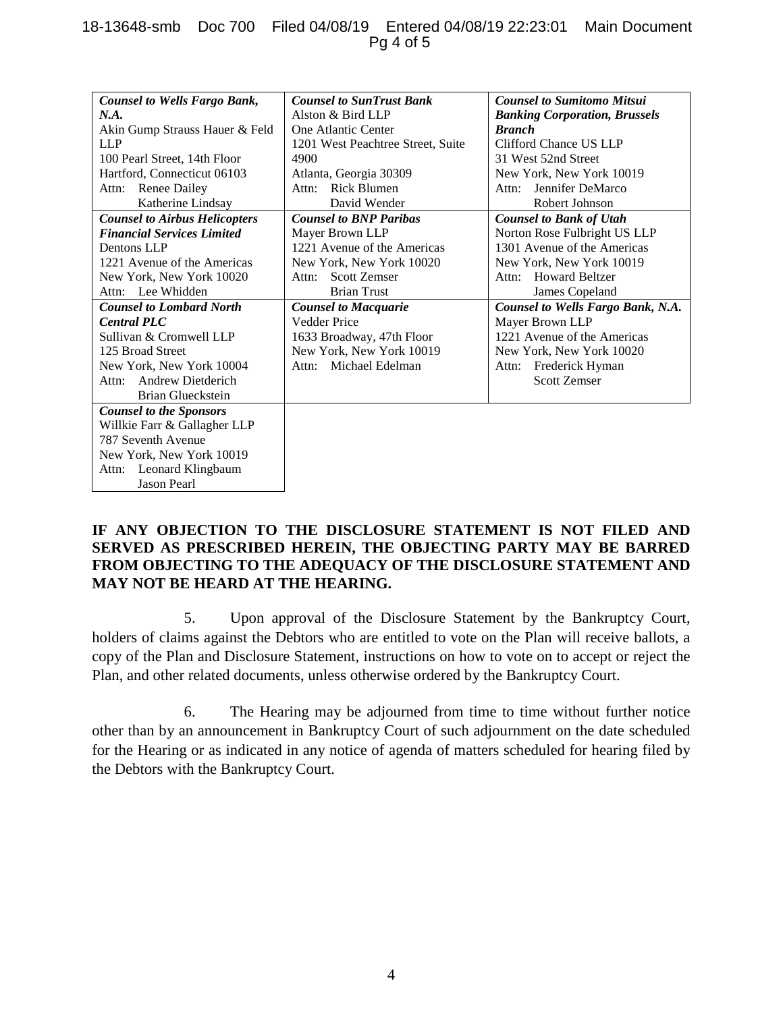## 18-13648-smb Doc 700 Filed 04/08/19 Entered 04/08/19 22:23:01 Main Document Pg 4 of 5

| <b>Counsel to Wells Fargo Bank,</b>  | <b>Counsel to SunTrust Bank</b>   | <b>Counsel to Sumitomo Mitsui</b>    |
|--------------------------------------|-----------------------------------|--------------------------------------|
| N.A.                                 | Alston & Bird LLP                 | <b>Banking Corporation, Brussels</b> |
| Akin Gump Strauss Hauer & Feld       | One Atlantic Center               | <b>Branch</b>                        |
| <b>LLP</b>                           | 1201 West Peachtree Street, Suite | Clifford Chance US LLP               |
| 100 Pearl Street, 14th Floor         | 4900                              | 31 West 52nd Street                  |
| Hartford, Connecticut 06103          | Atlanta, Georgia 30309            | New York, New York 10019             |
| <b>Renee Dailey</b><br>Attn:         | Rick Blumen<br>Attn:              | Jennifer DeMarco<br>Attn:            |
| Katherine Lindsay                    | David Wender                      | Robert Johnson                       |
| <b>Counsel to Airbus Helicopters</b> | <b>Counsel to BNP Paribas</b>     | <b>Counsel to Bank of Utah</b>       |
| <b>Financial Services Limited</b>    | Mayer Brown LLP                   | Norton Rose Fulbright US LLP         |
| Dentons LLP                          | 1221 Avenue of the Americas       | 1301 Avenue of the Americas          |
| 1221 Avenue of the Americas          | New York, New York 10020          | New York, New York 10019             |
| New York, New York 10020             | <b>Scott Zemser</b><br>Attn:      | <b>Howard Beltzer</b><br>Attn:       |
| Lee Whidden<br>Attn:                 | <b>Brian Trust</b>                | James Copeland                       |
| <b>Counsel to Lombard North</b>      | <b>Counsel to Macquarie</b>       | Counsel to Wells Fargo Bank, N.A.    |
| <b>Central PLC</b>                   | <b>Vedder Price</b>               | Mayer Brown LLP                      |
| Sullivan & Cromwell LLP              | 1633 Broadway, 47th Floor         | 1221 Avenue of the Americas          |
| 125 Broad Street                     | New York, New York 10019          | New York, New York 10020             |
| New York, New York 10004             | Attn: Michael Edelman             | Frederick Hyman<br>Attn:             |
| <b>Andrew Dietderich</b><br>Attn:    |                                   | <b>Scott Zemser</b>                  |
| Brian Glueckstein                    |                                   |                                      |
| <b>Counsel to the Sponsors</b>       |                                   |                                      |
| Willkie Farr & Gallagher LLP         |                                   |                                      |
| 787 Seventh Avenue                   |                                   |                                      |
| New York, New York 10019             |                                   |                                      |
| Leonard Klingbaum<br>Attn:           |                                   |                                      |
| <b>Jason Pearl</b>                   |                                   |                                      |

# **IF ANY OBJECTION TO THE DISCLOSURE STATEMENT IS NOT FILED AND SERVED AS PRESCRIBED HEREIN, THE OBJECTING PARTY MAY BE BARRED FROM OBJECTING TO THE ADEQUACY OF THE DISCLOSURE STATEMENT AND MAY NOT BE HEARD AT THE HEARING.**

5. Upon approval of the Disclosure Statement by the Bankruptcy Court, holders of claims against the Debtors who are entitled to vote on the Plan will receive ballots, a copy of the Plan and Disclosure Statement, instructions on how to vote on to accept or reject the Plan, and other related documents, unless otherwise ordered by the Bankruptcy Court.

6. The Hearing may be adjourned from time to time without further notice other than by an announcement in Bankruptcy Court of such adjournment on the date scheduled for the Hearing or as indicated in any notice of agenda of matters scheduled for hearing filed by the Debtors with the Bankruptcy Court.